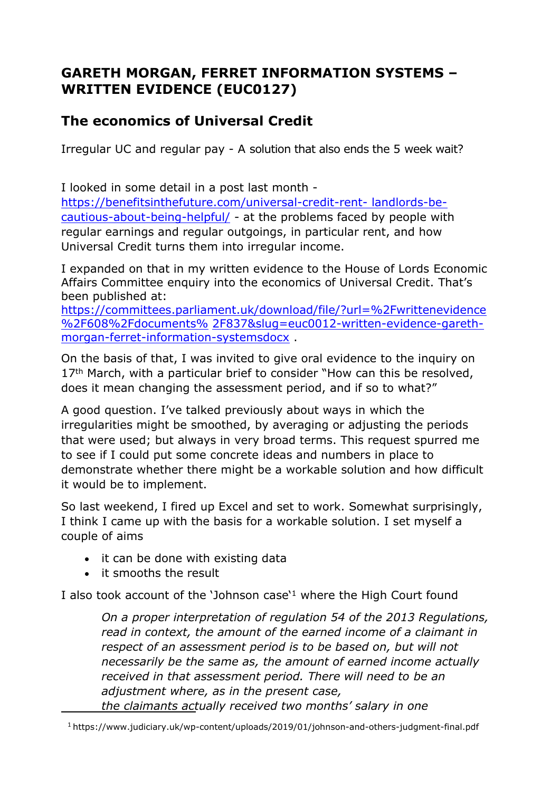# **GARETH MORGAN, FERRET INFORMATION SYSTEMS – WRITTEN EVIDENCE (EUC0127)**

# **The economics of Universal Credit**

Irregular UC and regular pay - A solution that also ends the 5 week wait?

I looked in some detail in a post last month -

[https://benefitsinthefuture.com/universal-credit-rent-](https://benefitsinthefuture.com/universal-credit-rent-landlords-be-cautious-about-being-helpful/) [landlords-be](https://benefitsinthefuture.com/universal-credit-rent-landlords-be-cautious-about-being-helpful/)[cautious-about-being-helpful/](https://benefitsinthefuture.com/universal-credit-rent-landlords-be-cautious-about-being-helpful/) - at the problems faced by people with regular earnings and regular outgoings, in particular rent, and how Universal Credit turns them into irregular income.

I expanded on that in my written evidence to the House of Lords Economic Affairs Committee enquiry into the economics of Universal Credit. That's been published at:

[https://committees.parliament.uk/download/file/?url=%2Fwrittenevidence](https://committees.parliament.uk/download/file/?url=%2Fwrittenevidence%2F608%2Fdocuments%25) [%2F608%2Fdocuments%](https://committees.parliament.uk/download/file/?url=%2Fwrittenevidence%2F608%2Fdocuments%25) [2F837&slug=euc0012-written-evidence-gareth](https://committees.parliament.uk/download/file/?url=%2Fwrittenevidence%2F608%2Fdocuments%2F837&slug=euc0012-written-evidence-gareth-morgan-ferret-information-systemsdocx)[morgan-ferret-information-systemsdocx](https://committees.parliament.uk/download/file/?url=%2Fwrittenevidence%2F608%2Fdocuments%2F837&slug=euc0012-written-evidence-gareth-morgan-ferret-information-systemsdocx) .

On the basis of that, I was invited to give oral evidence to the inquiry on 17<sup>th</sup> March, with a particular brief to consider "How can this be resolved, does it mean changing the assessment period, and if so to what?"

A good question. I've talked previously about ways in which the irregularities might be smoothed, by averaging or adjusting the periods that were used; but always in very broad terms. This request spurred me to see if I could put some concrete ideas and numbers in place to demonstrate whether there might be a workable solution and how difficult it would be to implement.

So last weekend, I fired up Excel and set to work. Somewhat surprisingly, I think I came up with the basis for a workable solution. I set myself a couple of aims

- it can be done with existing data
- it smooths the result

I also took account of the 'Johnson case'<sup>1</sup> where the High Court found

*On a proper interpretation of regulation 54 of the 2013 Regulations, read in context, the amount of the earned income of a claimant in respect of an assessment period is to be based on, but will not necessarily be the same as, the amount of earned income actually received in that assessment period. There will need to be an adjustment where, as in the present case, the claimants actually received two months' salary in one*

<sup>1</sup> https:[//w](http://www.judiciary.uk/wp-content/uploads/2019/01/johnson-and-others-judgment-final.pdf)w[w.judiciary.uk/wp-content/uploads/2019/01/johnson-and-others-judgment-final.pdf](http://www.judiciary.uk/wp-content/uploads/2019/01/johnson-and-others-judgment-final.pdf)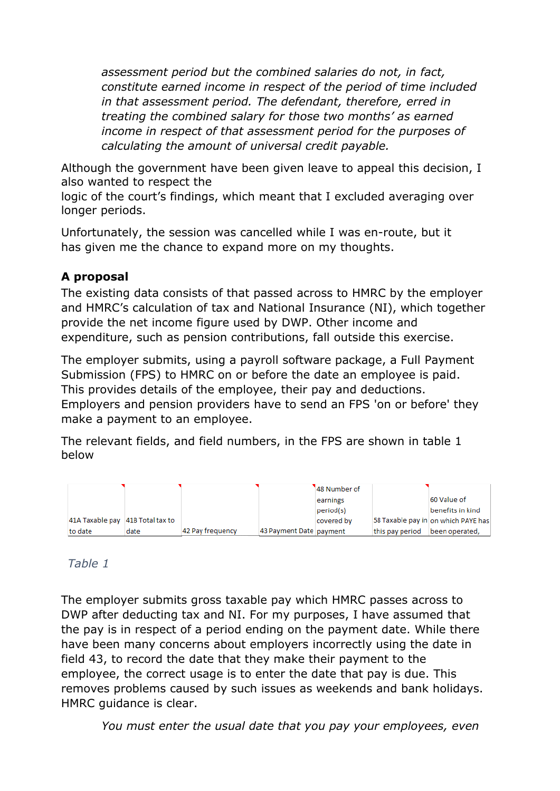*assessment period but the combined salaries do not, in fact, constitute earned income in respect of the period of time included in that assessment period. The defendant, therefore, erred in treating the combined salary for those two months' as earned income in respect of that assessment period for the purposes of calculating the amount of universal credit payable.*

Although the government have been given leave to appeal this decision, I also wanted to respect the

logic of the court's findings, which meant that I excluded averaging over longer periods.

Unfortunately, the session was cancelled while I was en-route, but it has given me the chance to expand more on my thoughts.

# **A proposal**

The existing data consists of that passed across to HMRC by the employer and HMRC's calculation of tax and National Insurance (NI), which together provide the net income figure used by DWP. Other income and expenditure, such as pension contributions, fall outside this exercise.

The employer submits, using a payroll software package, a Full Payment Submission (FPS) to HMRC on or before the date an employee is paid. This provides details of the employee, their pay and deductions. Employers and pension providers have to send an FPS 'on or before' they make a payment to an employee.

The relevant fields, and field numbers, in the FPS are shown in table 1 below

|                                  |      |                  |                         | 48 Number of |                 |                                     |
|----------------------------------|------|------------------|-------------------------|--------------|-----------------|-------------------------------------|
|                                  |      |                  |                         | earnings     |                 | 60 Value of                         |
|                                  |      |                  |                         | period(s)    |                 | benefits in kind                    |
| 41A Taxable pay 41B Total tax to |      |                  |                         | covered by   |                 | 58 Taxable pay in on which PAYE has |
| to date                          | date | 42 Pay frequency | 43 Payment Date payment |              | this pay period | been operated,                      |

# *Table 1*

The employer submits gross taxable pay which HMRC passes across to DWP after deducting tax and NI. For my purposes, I have assumed that the pay is in respect of a period ending on the payment date. While there have been many concerns about employers incorrectly using the date in field 43, to record the date that they make their payment to the employee, the correct usage is to enter the date that pay is due. This removes problems caused by such issues as weekends and bank holidays. HMRC guidance is clear.

*You must enter the usual date that you pay your employees, even*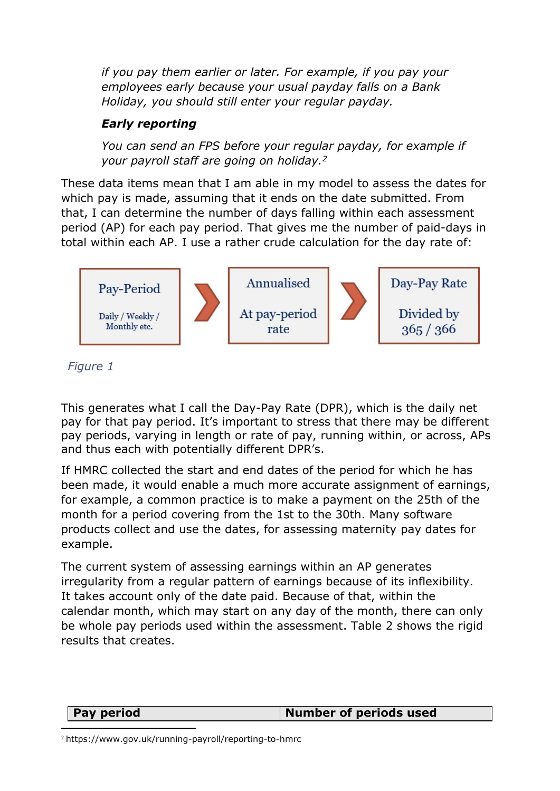*if you pay them earlier or later. For example, if you pay your employees early because your usual payday falls on a Bank Holiday, you should still enter your regular payday.*

# *Early reporting*

*You can send an FPS before your regular payday, for example if your payroll staff are going on holiday.<sup>2</sup>*

These data items mean that I am able in my model to assess the dates for which pay is made, assuming that it ends on the date submitted. From that, I can determine the number of days falling within each assessment period (AP) for each pay period. That gives me the number of paid-days in total within each AP. I use a rather crude calculation for the day rate of:



*Figure 1*

This generates what I call the Day-Pay Rate (DPR), which is the daily net pay for that pay period. It's important to stress that there may be different pay periods, varying in length or rate of pay, running within, or across, APs and thus each with potentially different DPR's.

If HMRC collected the start and end dates of the period for which he has been made, it would enable a much more accurate assignment of earnings, for example, a common practice is to make a payment on the 25th of the month for a period covering from the 1st to the 30th. Many software products collect and use the dates, for assessing maternity pay dates for example.

The current system of assessing earnings within an AP generates irregularity from a regular pattern of earnings because of its inflexibility. It takes account only of the date paid. Because of that, within the calendar month, which may start on any day of the month, there can only be whole pay periods used within the assessment. Table 2 shows the rigid results that creates.

|--|

<sup>2</sup> https[://www.gov.uk/running-payroll/reporting-to-hmrc](http://www.gov.uk/running-payroll/reporting-to-hmrc)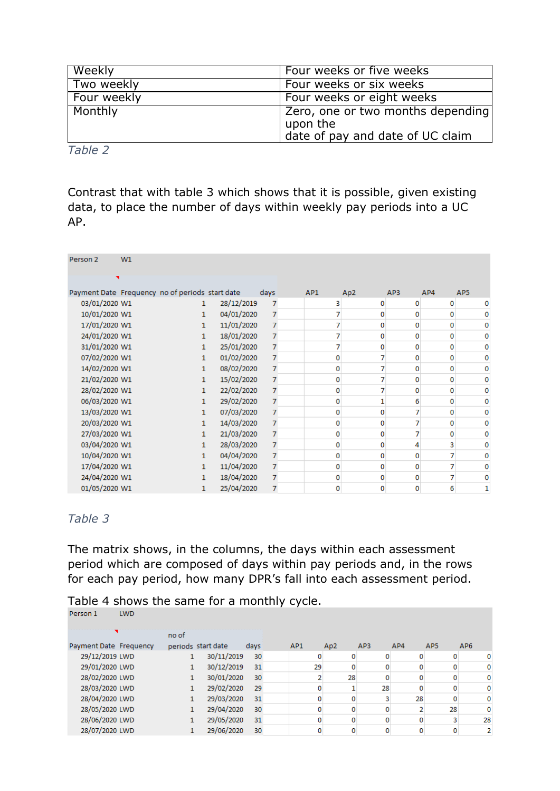| Weekly      | Four weeks or five weeks                                                           |
|-------------|------------------------------------------------------------------------------------|
| Two weekly  | Four weeks or six weeks                                                            |
| Four weekly | Four weeks or eight weeks                                                          |
| Monthly     | Zero, one or two months depending <br>upon the<br>date of pay and date of UC claim |

*Table 2*

Contrast that with table 3 which shows that it is possible, given existing data, to place the number of days within weekly pay periods into a UC AP.

| Person <sub>2</sub>                             | W1 |              |            |                |     |                 |          |     |                 |
|-------------------------------------------------|----|--------------|------------|----------------|-----|-----------------|----------|-----|-----------------|
|                                                 |    |              |            |                |     |                 |          |     |                 |
| Payment Date Frequency no of periods start date |    |              |            | days           | AP1 | Ap <sub>2</sub> | AP3      | AP4 | AP <sub>5</sub> |
| 03/01/2020 W1                                   |    | $\mathbf{1}$ | 28/12/2019 | 7              |     | o               | o        | 0   | 0               |
| 10/01/2020 W1                                   |    | 1            | 04/01/2020 | $\overline{7}$ |     | o               | o        | 0   | 0               |
| 17/01/2020 W1                                   |    | 1            | 11/01/2020 | $\overline{7}$ |     | o               | $\Omega$ | 0   | 0               |
| 24/01/2020 W1                                   |    | $\mathbf{1}$ | 18/01/2020 | 7              |     | o               | o        | 0   | 0               |
| 31/01/2020 W1                                   |    | $\mathbf{1}$ | 25/01/2020 | $\overline{7}$ |     | o               | o        | 0   | 0               |
| 07/02/2020 W1                                   |    | 1            | 01/02/2020 | $\overline{7}$ | o   |                 | $\Omega$ | 0   | 0               |
| 14/02/2020 W1                                   |    | 1            | 08/02/2020 | $\overline{7}$ | o   |                 | o        | 0   | 0               |
| 21/02/2020 W1                                   |    | 1            | 15/02/2020 | 7              | n   |                 | n        | 0   | 0               |
| 28/02/2020 W1                                   |    | 1            | 22/02/2020 | 7              | o   |                 | $\Omega$ | 0   | 0               |
| 06/03/2020 W1                                   |    | $\mathbf{1}$ | 29/02/2020 | $\overline{7}$ | o   |                 | 6        | 0   | 0               |
| 13/03/2020 W1                                   |    | $\mathbf{1}$ | 07/03/2020 | $\overline{7}$ | n   | o               |          | 0   | 0               |
| 20/03/2020 W1                                   |    | $\mathbf{1}$ | 14/03/2020 | $\overline{7}$ | o   | o               |          | 0   | 0               |
| 27/03/2020 W1                                   |    | 1            | 21/03/2020 | 7              | o   | 0               |          | 0   | 0               |
| 03/04/2020 W1                                   |    | 1            | 28/03/2020 | 7              | n   | o               |          | 3   | 0               |
| 10/04/2020 W1                                   |    | 1.           | 04/04/2020 | 7              | o   | O               | $\Omega$ | 7   | 0               |
| 17/04/2020 W1                                   |    | $\mathbf{1}$ | 11/04/2020 | $\overline{7}$ | o   | o               | o        | 7   | 0               |
| 24/04/2020 W1                                   |    | 1            | 18/04/2020 | $\overline{7}$ | n   |                 |          | 7   | 0               |
| 01/05/2020 W1                                   |    | 1            | 25/04/2020 | $\overline{7}$ | 0   | n               | o        | 6   | 1               |

### *Table 3*

The matrix shows, in the columns, the days within each assessment period which are composed of days within pay periods and, in the rows for each pay period, how many DPR's fall into each assessment period.

| Person 1               | <b>LWD</b> |                    |            |      |                 |                 |     |     |                 |                 |
|------------------------|------------|--------------------|------------|------|-----------------|-----------------|-----|-----|-----------------|-----------------|
|                        |            | no of              |            |      |                 |                 |     |     |                 |                 |
| Payment Date Frequency |            | periods start date |            | days | AP <sub>1</sub> | Ap <sub>2</sub> | AP3 | AP4 | AP <sub>5</sub> | AP <sub>6</sub> |
| 29/12/2019 LWD         |            |                    | 30/11/2019 | 30   | 0               | 0               |     |     |                 | 0               |
| 29/01/2020 LWD         |            |                    | 30/12/2019 | 31   | 29              | 0               |     |     |                 |                 |
| 28/02/2020 LWD         |            | $\mathbf{1}$       | 30/01/2020 | 30   | 2               | 28              |     |     |                 |                 |
| 28/03/2020 LWD         |            |                    | 29/02/2020 | 29   | 0               |                 | 28  |     |                 | 0               |
| 28/04/2020 LWD         |            |                    | 29/03/2020 | 31   | 0               |                 |     | 28  |                 | 0               |
| 28/05/2020 LWD         |            |                    | 29/04/2020 | 30   | 0               | 0               |     |     | 28              | 0               |
| 28/06/2020 LWD         |            |                    | 29/05/2020 | 31   | 0               | 0               |     |     |                 | 28              |
| 28/07/2020 LWD         |            |                    | 29/06/2020 | 30   | 0               |                 |     |     |                 | 2               |

Table 4 shows the same for a monthly cycle.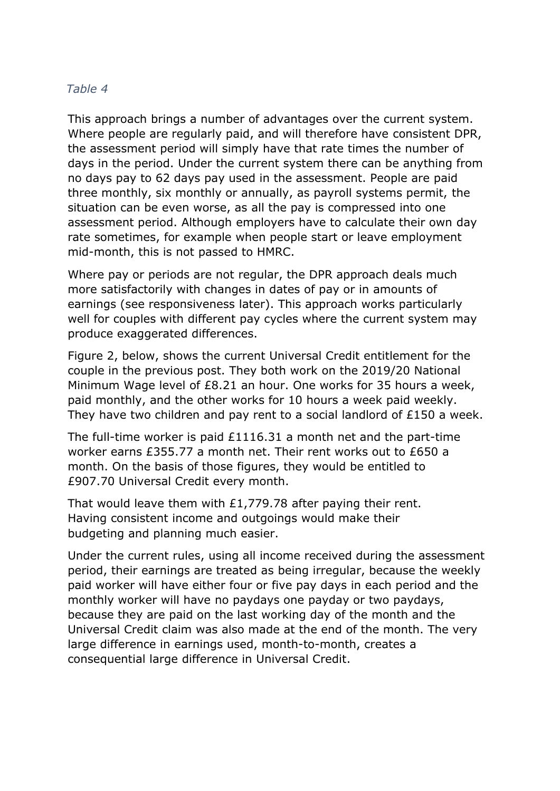## *Table 4*

This approach brings a number of advantages over the current system. Where people are regularly paid, and will therefore have consistent DPR, the assessment period will simply have that rate times the number of days in the period. Under the current system there can be anything from no days pay to 62 days pay used in the assessment. People are paid three monthly, six monthly or annually, as payroll systems permit, the situation can be even worse, as all the pay is compressed into one assessment period. Although employers have to calculate their own day rate sometimes, for example when people start or leave employment mid-month, this is not passed to HMRC.

Where pay or periods are not regular, the DPR approach deals much more satisfactorily with changes in dates of pay or in amounts of earnings (see responsiveness later). This approach works particularly well for couples with different pay cycles where the current system may produce exaggerated differences.

Figure 2, below, shows the current Universal Credit entitlement for the couple in the previous post. They both work on the 2019/20 National Minimum Wage level of £8.21 an hour. One works for 35 hours a week, paid monthly, and the other works for 10 hours a week paid weekly. They have two children and pay rent to a social landlord of £150 a week.

The full-time worker is paid £1116.31 a month net and the part-time worker earns £355.77 a month net. Their rent works out to £650 a month. On the basis of those figures, they would be entitled to £907.70 Universal Credit every month.

That would leave them with £1,779.78 after paying their rent. Having consistent income and outgoings would make their budgeting and planning much easier.

Under the current rules, using all income received during the assessment period, their earnings are treated as being irregular, because the weekly paid worker will have either four or five pay days in each period and the monthly worker will have no paydays one payday or two paydays, because they are paid on the last working day of the month and the Universal Credit claim was also made at the end of the month. The very large difference in earnings used, month-to-month, creates a consequential large difference in Universal Credit.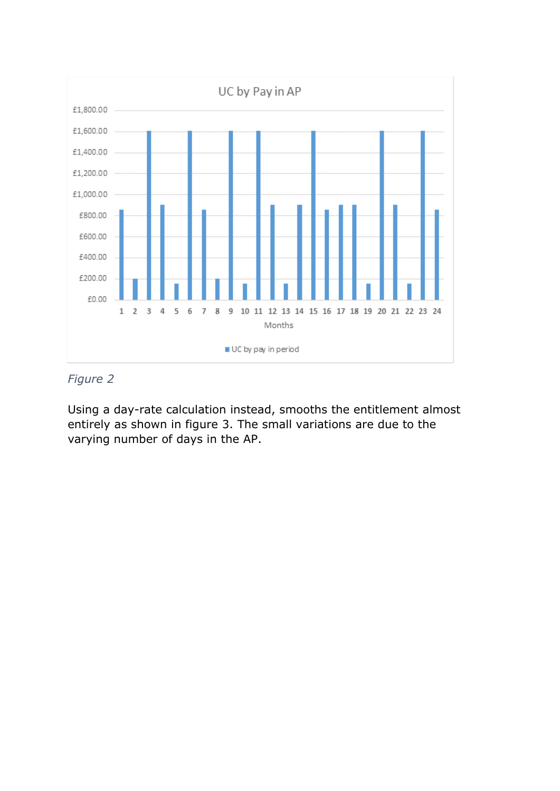

## *Figure 2*

Using a day-rate calculation instead, smooths the entitlement almost entirely as shown in figure 3. The small variations are due to the varying number of days in the AP.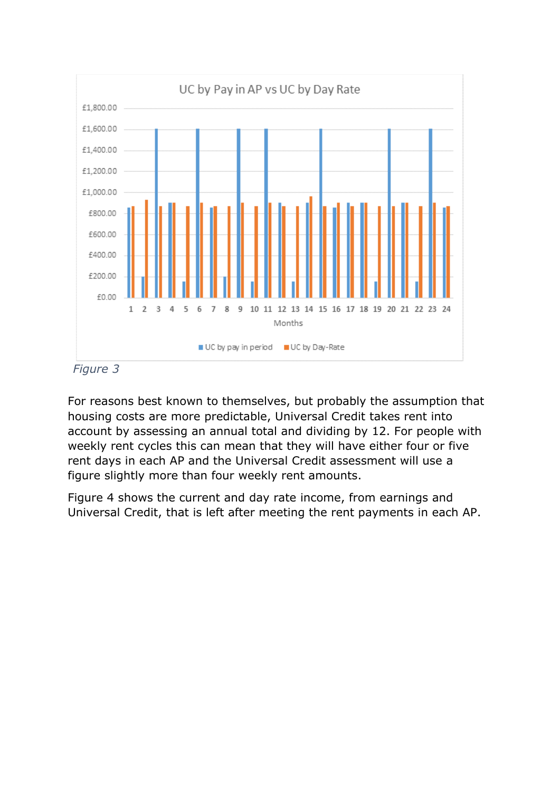

 *Figure 3*

For reasons best known to themselves, but probably the assumption that housing costs are more predictable, Universal Credit takes rent into account by assessing an annual total and dividing by 12. For people with weekly rent cycles this can mean that they will have either four or five rent days in each AP and the Universal Credit assessment will use a figure slightly more than four weekly rent amounts.

Figure 4 shows the current and day rate income, from earnings and Universal Credit, that is left after meeting the rent payments in each AP.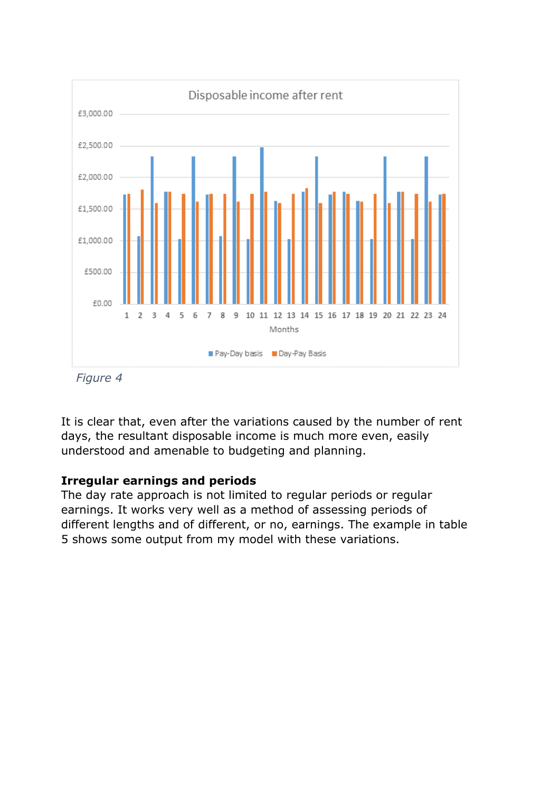

*Figure 4*

It is clear that, even after the variations caused by the number of rent days, the resultant disposable income is much more even, easily understood and amenable to budgeting and planning.

### **Irregular earnings and periods**

The day rate approach is not limited to regular periods or regular earnings. It works very well as a method of assessing periods of different lengths and of different, or no, earnings. The example in table 5 shows some output from my model with these variations.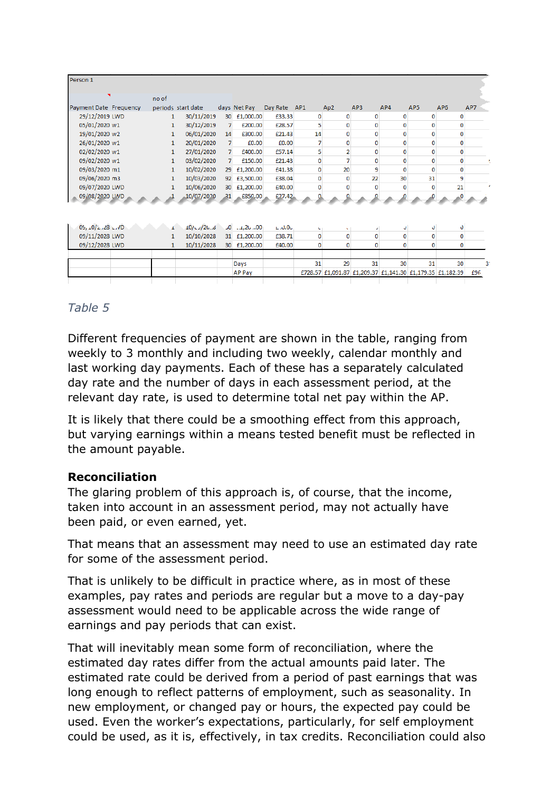| Person 1               |                 |                    |                |               |                |                |                                                           |              |             |                 |                 |     |
|------------------------|-----------------|--------------------|----------------|---------------|----------------|----------------|-----------------------------------------------------------|--------------|-------------|-----------------|-----------------|-----|
|                        | no of           |                    |                |               |                |                |                                                           |              |             |                 |                 |     |
| Payment Date Frequency |                 | periods start date |                | days Net Pay  | Day Rate AP1   |                | Ap <sub>2</sub>                                           | AP3          | AP4         | AP <sub>5</sub> | AP <sub>6</sub> | AP7 |
| 29/12/2019 LWD         | 1               | 30/11/2019         | 30             | £1,000.00     | £33.33         | 0              | 0                                                         | 0            | 0           | 0               | 0               |     |
| 05/01/2020 w1          | 1               | 30/12/2019         | $\overline{7}$ | £200.00       | £28.57         | 5              | $\mathbf{0}$                                              | $\mathbf 0$  | $\mathbf 0$ | 0               | 0               |     |
| 19/01/2020 w2          | $\mathbf{1}$    | 06/01/2020         | 14             | £300.00       | £21.43         | 14             | $\mathbf{0}$                                              | $\mathbf{0}$ | 0           | 0               | $\mathbf{0}$    |     |
| 26/01/2020 w1          | $\mathbf{1}$    | 20/01/2020         | $\overline{7}$ | £0.00         | £0.00          | $\overline{7}$ | $\bf{0}$                                                  | $\mathbf{0}$ | 0           | 0               | $\mathbf 0$     |     |
| 02/02/2020 w1          | $\mathbf{1}$    | 27/01/2020         | 7              | £400.00       | £57.14         | 5              | 2                                                         | $\mathbf{0}$ | $\mathbf 0$ | 0               | $\mathbf{0}$    |     |
| 09/02/2020 w1          | $\mathbf{1}$    | 03/02/2020         | $\overline{7}$ | £150.00       | £21.43         | 0              | 7                                                         | $\bf{0}$     | 0           | 0               | 0               |     |
| 09/03/2020 m1          | $\mathbf{1}$    | 10/02/2020         |                | 29 £1,200.00  | £41.38         | $\mathbf 0$    | 20                                                        | 9            | $\mathbf 0$ | 0               | $\mathbf 0$     |     |
| 09/06/2020 m3          | $\mathbf{1}$    | 10/03/2020         |                | 92 £3,500.00  | £38.04         | 0              | $\mathbf{0}$                                              | 22           | 30          | 31              | 9               |     |
| 09/07/2020 LWD         | 1               | 10/06/2020         |                | 30 £1,200.00  | £40.00         | 0              | $\Omega$                                                  | $\mathbf{0}$ | $\Omega$    | 0               | 21              |     |
| 09/08/2020 LWD         |                 | 10/07/2020         |                | 31 £850,00    | £27.42         |                |                                                           |              |             |                 |                 |     |
|                        |                 |                    |                |               |                |                |                                                           |              |             |                 |                 |     |
| $09, 10/z$ , 28 L, VD  |                 | $10/\sqrt{26.6}$   |                | $-0$ 00       | $L$ $A$ , $OL$ | x.             | ×.                                                        | ٠            |             | U               | o               |     |
| 09/11/2028 LWD         | $1\overline{ }$ | 10/10/2028         |                | 31 £1,200.00  | £38.71         | $\mathbf{0}$   | 0                                                         | $\mathbf{0}$ | 0           | 0               | $\mathbf{0}$    |     |
| 09/12/2028 LWD         | 1               | 10/11/2028         |                | 30 £1,200.00  | £40.00         | $\mathbf 0$    | 0                                                         | $\mathbf 0$  | 0           | 0               | $\mathbf{0}$    |     |
|                        |                 |                    |                | Days          |                | 31             | 29                                                        | 31           | 30          | 31              | 30 <sup>1</sup> |     |
|                        |                 |                    |                | <b>AP Pay</b> |                |                | £728.57 £1,091.87 £1,209.37 £1,141.30 £1,179.35 £1,182.39 |              |             |                 |                 | £96 |

## *Table 5*

Different frequencies of payment are shown in the table, ranging from weekly to 3 monthly and including two weekly, calendar monthly and last working day payments. Each of these has a separately calculated day rate and the number of days in each assessment period, at the relevant day rate, is used to determine total net pay within the AP.

It is likely that there could be a smoothing effect from this approach, but varying earnings within a means tested benefit must be reflected in the amount payable.

### **Reconciliation**

The glaring problem of this approach is, of course, that the income, taken into account in an assessment period, may not actually have been paid, or even earned, yet.

That means that an assessment may need to use an estimated day rate for some of the assessment period.

That is unlikely to be difficult in practice where, as in most of these examples, pay rates and periods are regular but a move to a day-pay assessment would need to be applicable across the wide range of earnings and pay periods that can exist.

That will inevitably mean some form of reconciliation, where the estimated day rates differ from the actual amounts paid later. The estimated rate could be derived from a period of past earnings that was long enough to reflect patterns of employment, such as seasonality. In new employment, or changed pay or hours, the expected pay could be used. Even the worker's expectations, particularly, for self employment could be used, as it is, effectively, in tax credits. Reconciliation could also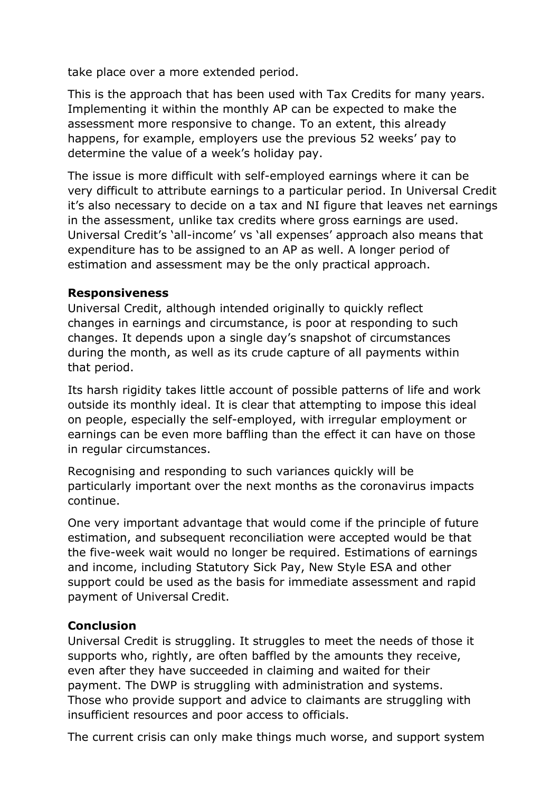take place over a more extended period.

This is the approach that has been used with Tax Credits for many years. Implementing it within the monthly AP can be expected to make the assessment more responsive to change. To an extent, this already happens, for example, employers use the previous 52 weeks' pay to determine the value of a week's holiday pay.

The issue is more difficult with self-employed earnings where it can be very difficult to attribute earnings to a particular period. In Universal Credit it's also necessary to decide on a tax and NI figure that leaves net earnings in the assessment, unlike tax credits where gross earnings are used. Universal Credit's 'all-income' vs 'all expenses' approach also means that expenditure has to be assigned to an AP as well. A longer period of estimation and assessment may be the only practical approach.

## **Responsiveness**

Universal Credit, although intended originally to quickly reflect changes in earnings and circumstance, is poor at responding to such changes. It depends upon a single day's snapshot of circumstances during the month, as well as its crude capture of all payments within that period.

Its harsh rigidity takes little account of possible patterns of life and work outside its monthly ideal. It is clear that attempting to impose this ideal on people, especially the self-employed, with irregular employment or earnings can be even more baffling than the effect it can have on those in regular circumstances.

Recognising and responding to such variances quickly will be particularly important over the next months as the coronavirus impacts continue.

One very important advantage that would come if the principle of future estimation, and subsequent reconciliation were accepted would be that the five-week wait would no longer be required. Estimations of earnings and income, including Statutory Sick Pay, New Style ESA and other support could be used as the basis for immediate assessment and rapid payment of Universal Credit.

## **Conclusion**

Universal Credit is struggling. It struggles to meet the needs of those it supports who, rightly, are often baffled by the amounts they receive, even after they have succeeded in claiming and waited for their payment. The DWP is struggling with administration and systems. Those who provide support and advice to claimants are struggling with insufficient resources and poor access to officials.

The current crisis can only make things much worse, and support system